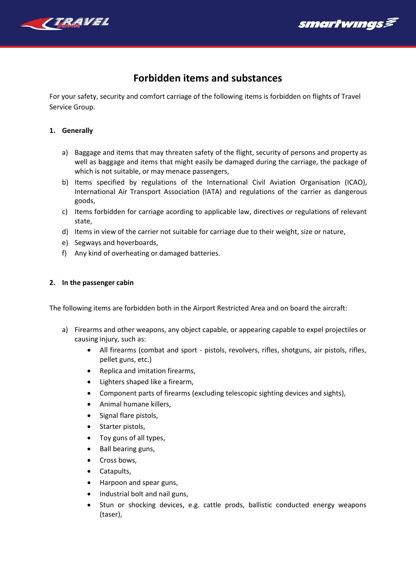

# smartwɪngs*≶*

# **Forbidden items and substances**

For your safety, security and comfort carriage of the following items is forbidden on flights of Travel Service Group.

#### **1. Generally**

- a) Baggage and items that may threaten safety of the flight, security of persons and property as well as baggage and items that might easily be damaged during the carriage, the package of which is not suitable, or may menace passengers,
- b) Items specified by regulations of the International Civil Aviation Organisation (ICAO), International Air Transport Association (IATA) and regulations of the carrier as dangerous goods,
- c) Items forbidden for carriage acording to applicable law, directives or regulations of relevant state,
- d) Items in view of the carrier not suitable for carriage due to their weight, size or nature,
- e) Segways and hoverboards,
- f) Any kind of overheating or damaged batteries.

## **2. In the passenger cabin**

The following items are forbidden both in the Airport Restricted Area and on board the aircraft:

- a) Firearms and other weapons, any object capable, or appearing capable to expel projectiles or causing injury, such as:
	- All firearms (combat and sport pistols, revolvers, rifles, shotguns, air pistols, rifles, pellet guns, etc.)
	- Replica and imitation firearms,
	- Lighters shaped like a firearm,
	- Component parts of firearms (excluding telescopic sighting devices and sights),
	- Animal humane killers,
	- Signal flare pistols,
	- Starter pistols,
	- Toy guns of all types,
	- Ball bearing guns,
	- Cross bows,
	- Catapults,
	- Harpoon and spear guns,
	- Industrial bolt and nail guns,
	- Stun or shocking devices, e.g. cattle prods, ballistic conducted energy weapons (taser),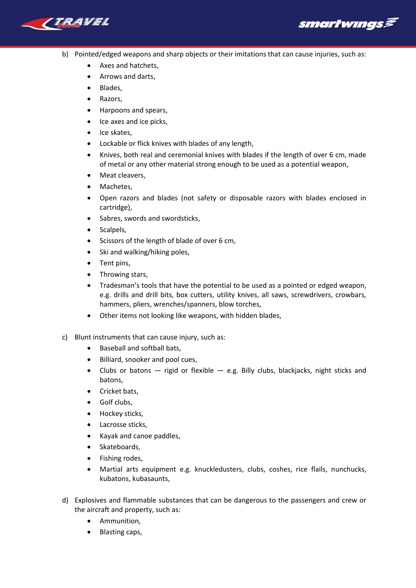

smartwıngs*§* 

- b) Pointed/edged weapons and sharp objects or their imitations that can cause injuries, such as:
	- Axes and hatchets,
	- Arrows and darts,
	- Blades,
	- Razors,
	- Harpoons and spears,
	- Ice axes and ice picks,
	- Ice skates,
	- Lockable or flick knives with blades of any length,
	- Knives, both real and ceremonial knives with blades if the length of over 6 cm, made of metal or any other material strong enough to be used as a potential weapon,
	- Meat cleavers,
	- Machetes,
	- Open razors and blades (not safety or disposable razors with blades enclosed in cartridge),
	- Sabres, swords and swordsticks,
	- Scalpels.
	- Scissors of the length of blade of over 6 cm,
	- Ski and walking/hiking poles,
	- Tent pins,
	- Throwing stars,
	- Tradesman's tools that have the potential to be used as a pointed or edged weapon, e.g. drills and drill bits, box cutters, utility knives, all saws, screwdrivers, crowbars, hammers, pliers, wrenches/spanners, blow torches,
	- Other items not looking like weapons, with hidden blades,
- c) Blunt instruments that can cause injury, such as:
	- Baseball and softball bats,
	- Billiard, snooker and pool cues,
	- Clubs or batons  $-$  rigid or flexible  $-$  e.g. Billy clubs, blackjacks, night sticks and batons,
	- Cricket bats,
	- Golf clubs,
	- Hockey sticks,
	- Lacrosse sticks,
	- Kayak and canoe paddles,
	- Skateboards,
	- Fishing rodes,
	- Martial arts equipment e.g. knuckledusters, clubs, coshes, rice flails, nunchucks, kubatons, kubasaunts,
- d) Explosives and flammable substances that can be dangerous to the passengers and crew or the aircraft and property, such as:
	- Ammunition,
	- Blasting caps,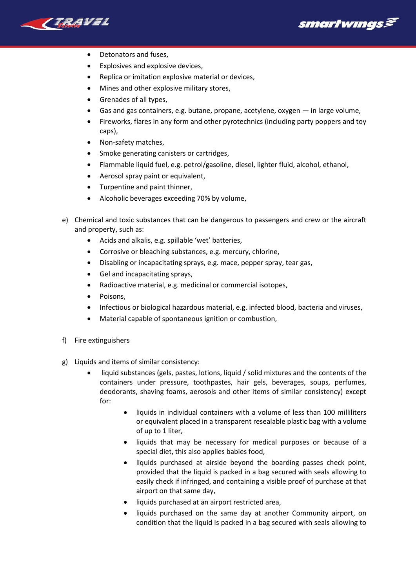

smartwɪngs*≶* 

- Detonators and fuses,
- Explosives and explosive devices,
- Replica or imitation explosive material or devices,
- Mines and other explosive military stores,
- Grenades of all types,
- Gas and gas containers, e.g. butane, propane, acetylene, oxygen in large volume,
- Fireworks, flares in any form and other pyrotechnics (including party poppers and toy caps),
- Non-safety matches,
- Smoke generating canisters or cartridges,
- Flammable liquid fuel, e.g. petrol/gasoline, diesel, lighter fluid, alcohol, ethanol,
- Aerosol spray paint or equivalent,
- Turpentine and paint thinner,
- Alcoholic beverages exceeding 70% by volume,
- e) Chemical and toxic substances that can be dangerous to passengers and crew or the aircraft and property, such as:
	- Acids and alkalis, e.g. spillable 'wet' batteries,
	- Corrosive or bleaching substances, e.g. mercury, chlorine,
	- Disabling or incapacitating sprays, e.g. mace, pepper spray, tear gas,
	- Gel and incapacitating sprays,
	- Radioactive material, e.g. medicinal or commercial isotopes,
	- Poisons,
	- Infectious or biological hazardous material, e.g. infected blood, bacteria and viruses,
	- Material capable of spontaneous ignition or combustion,
- f) Fire extinguishers
- g) Liquids and items of similar consistency:
	- liquid substances (gels, pastes, lotions, liquid / solid mixtures and the contents of the containers under pressure, toothpastes, hair gels, beverages, soups, perfumes, deodorants, shaving foams, aerosols and other items of similar consistency) except for:
		- liquids in individual containers with a volume of less than 100 milliliters or equivalent placed in a transparent resealable plastic bag with a volume of up to 1 liter,
		- liquids that may be necessary for medical purposes or because of a special diet, this also applies babies food,
		- liquids purchased at airside beyond the boarding passes check point, provided that the liquid is packed in a bag secured with seals allowing to easily check if infringed, and containing a visible proof of purchase at that airport on that same day,
		- liquids purchased at an airport restricted area,
		- liquids purchased on the same day at another Community airport, on condition that the liquid is packed in a bag secured with seals allowing to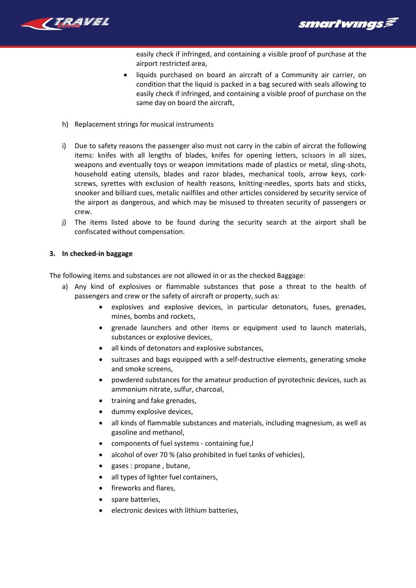



easily check if infringed, and containing a visible proof of purchase at the airport restricted area,

- liquids purchased on board an aircraft of a Community air carrier, on condition that the liquid is packed in a bag secured with seals allowing to easily check if infringed, and containing a visible proof of purchase on the same day on board the aircraft,
- h) Replacement strings for musical instruments
- i) Due to safety reasons the passenger also must not carry in the cabin of aircrat the following items: knifes with all lengths of blades, knifes for opening letters, scissors in all sizes, weapons and eventually toys or weapon immitations made of plastics or metal, sling-shots, household eating utensils, blades and razor blades, mechanical tools, arrow keys, corkscrews, syrettes with exclusion of health reasons, knitting-needles, sports bats and sticks, snooker and billiard cues, metalic nailfiles and other articles considered by security service of the airport as dangerous, and which may be misused to threaten security of passengers or crew.
- j) The items listed above to be found during the security search at the airport shall be confiscated without compensation.

## **3. In checked-in baggage**

The following items and substances are not allowed in or as the checked Baggage:

- a) Any kind of explosives or flammable substances that pose a threat to the health of passengers and crew or the safety of aircraft or property, such as:
	- explosives and explosive devices, in particular detonators, fuses, grenades, mines, bombs and rockets,
	- grenade launchers and other items or equipment used to launch materials, substances or explosive devices,
	- all kinds of detonators and explosive substances,
	- suitcases and bags equipped with a self-destructive elements, generating smoke and smoke screens,
	- powdered substances for the amateur production of pyrotechnic devices, such as ammonium nitrate, sulfur, charcoal,
	- training and fake grenades,
	- dummy explosive devices,
	- all kinds of flammable substances and materials, including magnesium, as well as gasoline and methanol,
	- components of fuel systems containing fue,l
	- alcohol of over 70 % (also prohibited in fuel tanks of vehicles),
	- gases : propane , butane,
	- all types of lighter fuel containers,
	- fireworks and flares,
	- spare batteries,
	- electronic devices with lithium batteries,